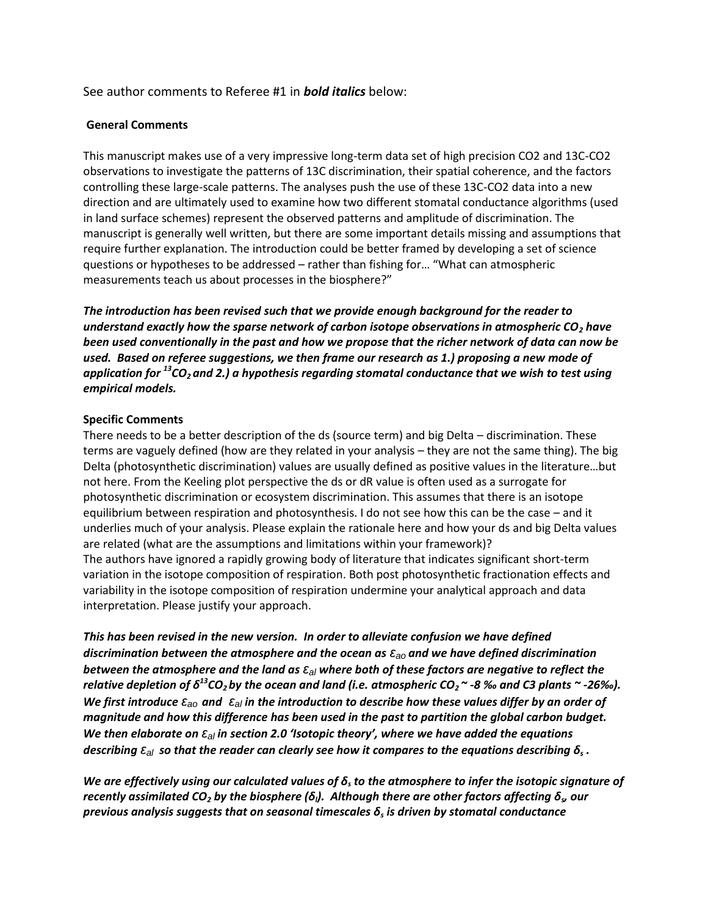# See author comments to Referee #1 in *bold italics* below:

### **General Comments**

This manuscript makes use of a very impressive long-term data set of high precision CO2 and 13C-CO2 observations to investigate the patterns of 13C discrimination, their spatial coherence, and the factors controlling these large-scale patterns. The analyses push the use of these 13C-CO2 data into a new direction and are ultimately used to examine how two different stomatal conductance algorithms (used in land surface schemes) represent the observed patterns and amplitude of discrimination. The manuscript is generally well written, but there are some important details missing and assumptions that require further explanation. The introduction could be better framed by developing a set of science questions or hypotheses to be addressed – rather than fishing for… "What can atmospheric measurements teach us about processes in the biosphere?"

*The introduction has been revised such that we provide enough background for the reader to understand exactly how the sparse network of carbon isotope observations in atmospheric CO<sup>2</sup> have been used conventionally in the past and how we propose that the richer network of data can now be used. Based on referee suggestions, we then frame our research as 1.) proposing a new mode of application for <sup>13</sup>CO2 and 2.) a hypothesis regarding stomatal conductance that we wish to test using empirical models.* 

### **Specific Comments**

There needs to be a better description of the ds (source term) and big Delta – discrimination. These terms are vaguely defined (how are they related in your analysis – they are not the same thing). The big Delta (photosynthetic discrimination) values are usually defined as positive values in the literature…but not here. From the Keeling plot perspective the ds or dR value is often used as a surrogate for photosynthetic discrimination or ecosystem discrimination. This assumes that there is an isotope equilibrium between respiration and photosynthesis. I do not see how this can be the case – and it underlies much of your analysis. Please explain the rationale here and how your ds and big Delta values are related (what are the assumptions and limitations within your framework)? The authors have ignored a rapidly growing body of literature that indicates significant short-term variation in the isotope composition of respiration. Both post photosynthetic fractionation effects and variability in the isotope composition of respiration undermine your analytical approach and data interpretation. Please justify your approach.

*This has been revised in the new version. In order to alleviate confusion we have defined discrimination between the atmosphere and the ocean as εao and we have defined discrimination between the atmosphere and the land as εal where both of these factors are negative to reflect the relative depletion of δ <sup>13</sup>CO2 by the ocean and land (i.e. atmospheric CO2 ~ -8 ‰ and C3 plants ~ -26‰).*  We first introduce  $\varepsilon_{a0}$  and  $|\varepsilon_{al}|$  in the introduction to describe how these values differ by an order of *magnitude and how this difference has been used in the past to partition the global carbon budget. We then elaborate on ε<sub>al</sub> in section 2.0 'Isotopic theory', where we have added the equations*  $\delta$  *describing*  $\varepsilon$ *<sub>al</sub> so that the reader can clearly see how it compares to the equations describing*  $\delta_s$  *.* 

*We are effectively using our calculated values of δ<sup>s</sup> to the atmosphere to infer the isotopic signature of recently assimilated CO<sup>2</sup> by the biosphere (δl). Although there are other factors affecting δ<sup>s</sup> , our previous analysis suggests that on seasonal timescales δ<sup>s</sup> is driven by stomatal conductance*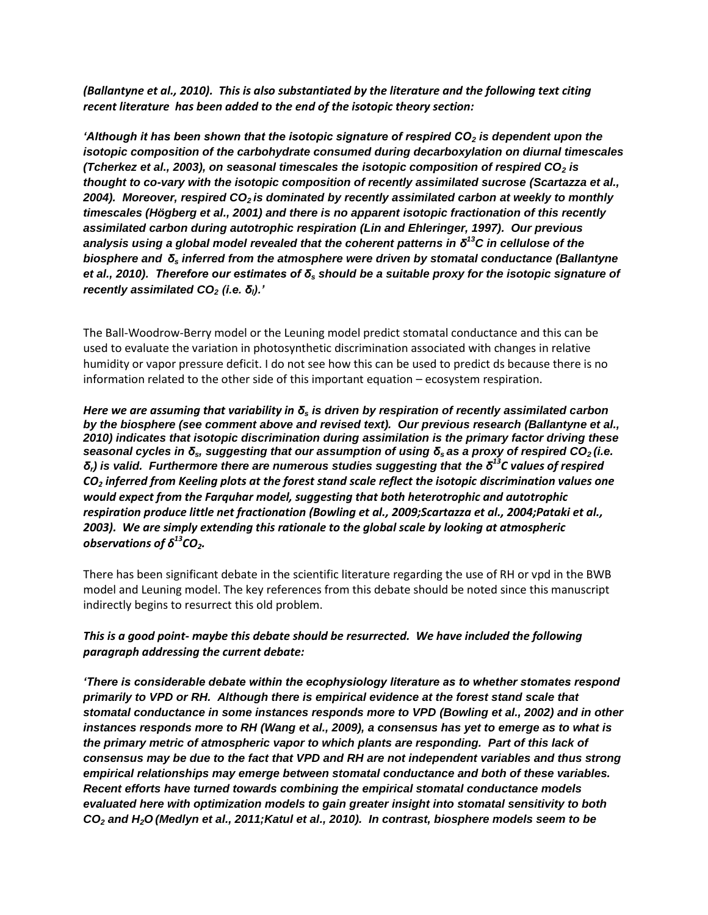*(Ballantyne et al., 2010). This is also substantiated by the literature and the following text citing recent literature has been added to the end of the isotopic theory section:*

*'Although it has been shown that the isotopic signature of respired CO<sup>2</sup> is dependent upon the isotopic composition of the carbohydrate consumed during decarboxylation on diurnal timescales (Tcherkez et al., 2003), on seasonal timescales the isotopic composition of respired CO<sup>2</sup> is thought to co-vary with the isotopic composition of recently assimilated sucrose (Scartazza et al., 2004). Moreover, respired CO2 is dominated by recently assimilated carbon at weekly to monthly timescales (Högberg et al., 2001) and there is no apparent isotopic fractionation of this recently assimilated carbon during autotrophic respiration (Lin and Ehleringer, 1997). Our previous analysis using a global model revealed that the coherent patterns in δ <sup>13</sup>C in cellulose of the biosphere and δ<sup>s</sup> inferred from the atmosphere were driven by stomatal conductance (Ballantyne et al., 2010). Therefore our estimates of δ<sup>s</sup> should be a suitable proxy for the isotopic signature of recently assimilated CO<sup>2</sup> (i.e. δl).'* 

The Ball-Woodrow-Berry model or the Leuning model predict stomatal conductance and this can be used to evaluate the variation in photosynthetic discrimination associated with changes in relative humidity or vapor pressure deficit. I do not see how this can be used to predict ds because there is no information related to the other side of this important equation – ecosystem respiration.

*Here we are assuming that variability in δ<sup>s</sup> is driven by respiration of recently assimilated carbon by the biosphere (see comment above and revised text). Our previous research (Ballantyne et al., 2010) indicates that isotopic discrimination during assimilation is the primary factor driving these seasonal cycles in δs, suggesting that our assumption of using δ<sup>s</sup> as a proxy of respired CO2 (i.e. δr) is valid. Furthermore there are numerous studies suggesting that the δ<sup>13</sup>C values of respired CO<sup>2</sup> inferred from Keeling plots at the forest stand scale reflect the isotopic discrimination values one would expect from the Farquhar model, suggesting that both heterotrophic and autotrophic respiration produce little net fractionation (Bowling et al., 2009;Scartazza et al., 2004;Pataki et al., 2003). We are simply extending this rationale to the global scale by looking at atmospheric observations of δ <sup>13</sup>CO2.*

There has been significant debate in the scientific literature regarding the use of RH or vpd in the BWB model and Leuning model. The key references from this debate should be noted since this manuscript indirectly begins to resurrect this old problem.

# *This is a good point- maybe this debate should be resurrected. We have included the following paragraph addressing the current debate:*

*'There is considerable debate within the ecophysiology literature as to whether stomates respond primarily to VPD or RH. Although there is empirical evidence at the forest stand scale that stomatal conductance in some instances responds more to VPD (Bowling et al., 2002) and in other instances responds more to RH (Wang et al., 2009), a consensus has yet to emerge as to what is the primary metric of atmospheric vapor to which plants are responding. Part of this lack of consensus may be due to the fact that VPD and RH are not independent variables and thus strong empirical relationships may emerge between stomatal conductance and both of these variables. Recent efforts have turned towards combining the empirical stomatal conductance models evaluated here with optimization models to gain greater insight into stomatal sensitivity to both CO<sup>2</sup> and H2O (Medlyn et al., 2011;Katul et al., 2010). In contrast, biosphere models seem to be*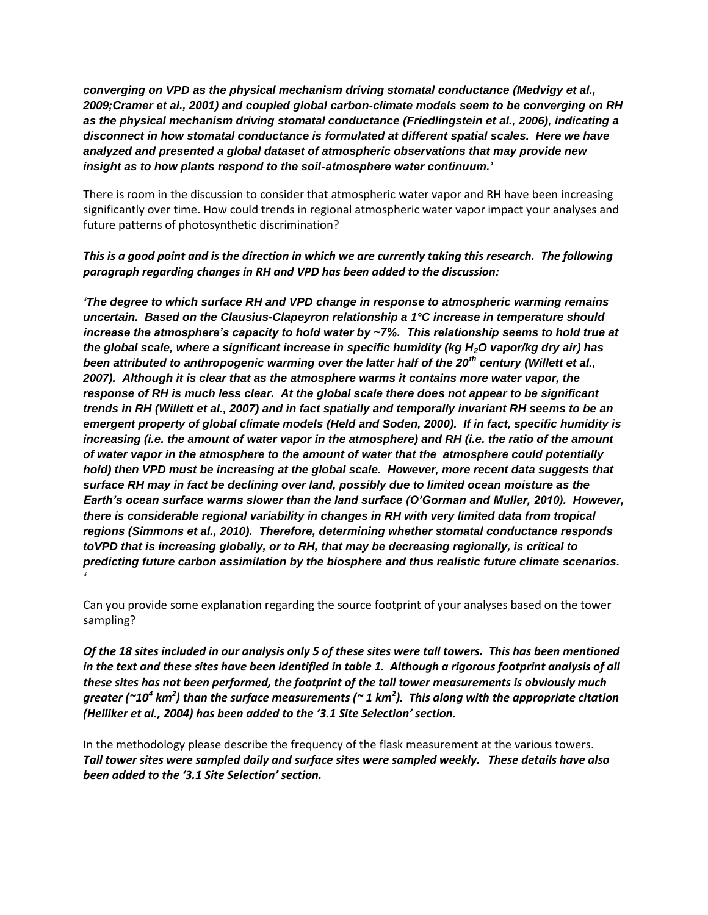*converging on VPD as the physical mechanism driving stomatal conductance (Medvigy et al., 2009;Cramer et al., 2001) and coupled global carbon-climate models seem to be converging on RH as the physical mechanism driving stomatal conductance (Friedlingstein et al., 2006), indicating a disconnect in how stomatal conductance is formulated at different spatial scales. Here we have analyzed and presented a global dataset of atmospheric observations that may provide new insight as to how plants respond to the soil-atmosphere water continuum.'*

There is room in the discussion to consider that atmospheric water vapor and RH have been increasing significantly over time. How could trends in regional atmospheric water vapor impact your analyses and future patterns of photosynthetic discrimination?

## *This is a good point and is the direction in which we are currently taking this research. The following paragraph regarding changes in RH and VPD has been added to the discussion:*

*'The degree to which surface RH and VPD change in response to atmospheric warming remains uncertain. Based on the Clausius-Clapeyron relationship a 1°C increase in temperature should increase the atmosphere's capacity to hold water by ~7%. This relationship seems to hold true at the global scale, where a significant increase in specific humidity (kg H2O vapor/kg dry air) has been attributed to anthropogenic warming over the latter half of the 20th century (Willett et al., 2007). Although it is clear that as the atmosphere warms it contains more water vapor, the response of RH is much less clear. At the global scale there does not appear to be significant trends in RH (Willett et al., 2007) and in fact spatially and temporally invariant RH seems to be an emergent property of global climate models (Held and Soden, 2000). If in fact, specific humidity is increasing (i.e. the amount of water vapor in the atmosphere) and RH (i.e. the ratio of the amount of water vapor in the atmosphere to the amount of water that the atmosphere could potentially*  hold) then VPD must be increasing at the global scale. However, more recent data suggests that *surface RH may in fact be declining over land, possibly due to limited ocean moisture as the Earth's ocean surface warms slower than the land surface (O'Gorman and Muller, 2010). However, there is considerable regional variability in changes in RH with very limited data from tropical regions (Simmons et al., 2010). Therefore, determining whether stomatal conductance responds toVPD that is increasing globally, or to RH, that may be decreasing regionally, is critical to predicting future carbon assimilation by the biosphere and thus realistic future climate scenarios. '*

Can you provide some explanation regarding the source footprint of your analyses based on the tower sampling?

*Of the 18 sites included in our analysis only 5 of these sites were tall towers. This has been mentioned in the text and these sites have been identified in table 1. Although a rigorous footprint analysis of all these sites has not been performed, the footprint of the tall tower measurements is obviously much greater (~10<sup>4</sup> km<sup>2</sup> ) than the surface measurements (~ 1 km<sup>2</sup> ). This along with the appropriate citation (Helliker et al., 2004) has been added to the '3.1 Site Selection' section.* 

In the methodology please describe the frequency of the flask measurement at the various towers. *Tall tower sites were sampled daily and surface sites were sampled weekly. These details have also been added to the '3.1 Site Selection' section.*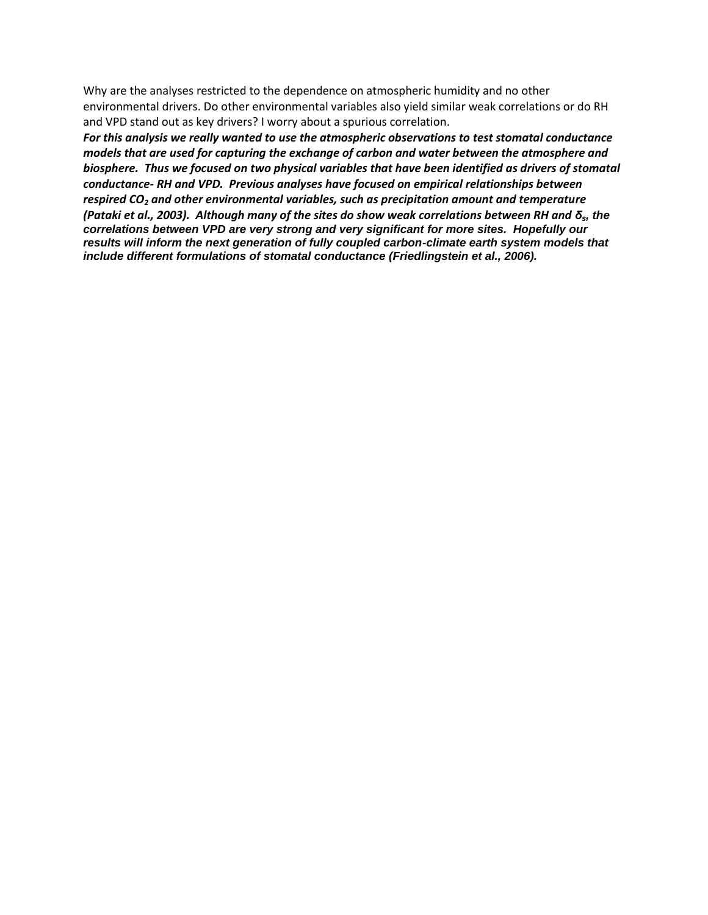Why are the analyses restricted to the dependence on atmospheric humidity and no other environmental drivers. Do other environmental variables also yield similar weak correlations or do RH and VPD stand out as key drivers? I worry about a spurious correlation.

*For this analysis we really wanted to use the atmospheric observations to test stomatal conductance models that are used for capturing the exchange of carbon and water between the atmosphere and biosphere. Thus we focused on two physical variables that have been identified as drivers of stomatal conductance- RH and VPD. Previous analyses have focused on empirical relationships between respired CO<sup>2</sup> and other environmental variables, such as precipitation amount and temperature (Pataki et al., 2003). Although many of the sites do show weak correlations between RH and δs, the correlations between VPD are very strong and very significant for more sites. Hopefully our results will inform the next generation of fully coupled carbon-climate earth system models that include different formulations of stomatal conductance (Friedlingstein et al., 2006).*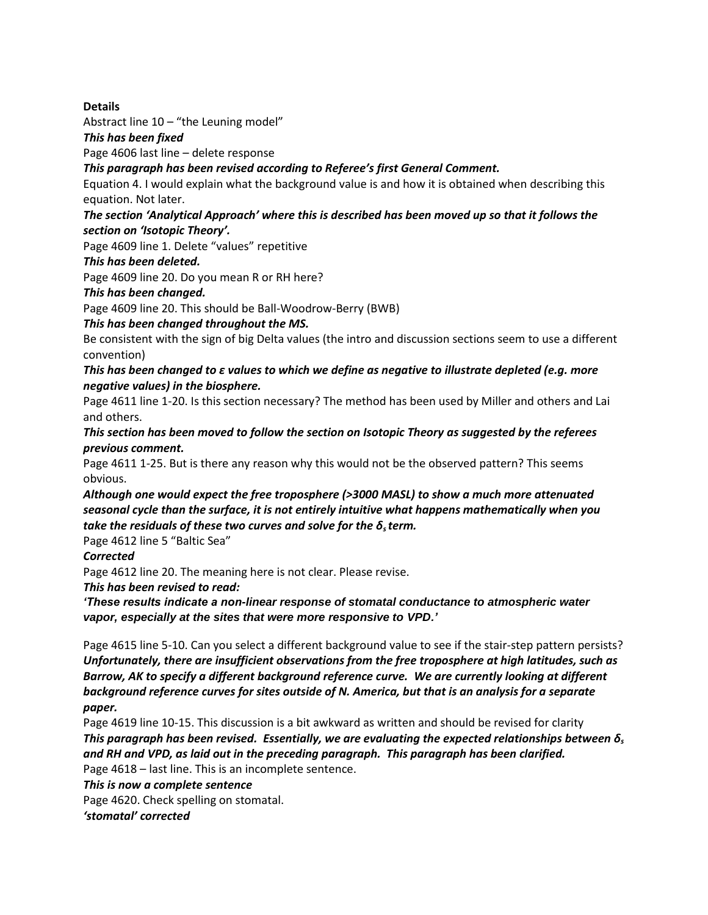**Details** 

Abstract line  $10 -$  "the Leuning model"

*This has been fixed*

Page 4606 last line – delete response

*This paragraph has been revised according to Referee's first General Comment.* 

Equation 4. I would explain what the background value is and how it is obtained when describing this equation. Not later.

#### *The section 'Analytical Approach' where this is described has been moved up so that it follows the section on 'Isotopic Theory'.*

Page 4609 line 1. Delete "values" repetitive

### *This has been deleted.*

Page 4609 line 20. Do you mean R or RH here?

#### *This has been changed.*

Page 4609 line 20. This should be Ball-Woodrow-Berry (BWB)

*This has been changed throughout the MS.*

Be consistent with the sign of big Delta values (the intro and discussion sections seem to use a different convention)

### *This has been changed to ε values to which we define as negative to illustrate depleted (e.g. more negative values) in the biosphere.*

Page 4611 line 1-20. Is this section necessary? The method has been used by Miller and others and Lai and others.

*This section has been moved to follow the section on Isotopic Theory as suggested by the referees previous comment.*

Page 4611 1-25. But is there any reason why this would not be the observed pattern? This seems obvious.

*Although one would expect the free troposphere (>3000 MASL) to show a much more attenuated seasonal cycle than the surface, it is not entirely intuitive what happens mathematically when you take the residuals of these two curves and solve for the δs term.*

Page 4612 line 5 "Baltic Sea"

#### *Corrected*

Page 4612 line 20. The meaning here is not clear. Please revise.

*This has been revised to read:*

*'These results indicate a non-linear response of stomatal conductance to atmospheric water vapor, especially at the sites that were more responsive to VPD.'*

Page 4615 line 5-10. Can you select a different background value to see if the stair-step pattern persists? *Unfortunately, there are insufficient observations from the free troposphere at high latitudes, such as Barrow, AK to specify a different background reference curve. We are currently looking at different background reference curves for sites outside of N. America, but that is an analysis for a separate paper.*

Page 4619 line 10-15. This discussion is a bit awkward as written and should be revised for clarity *This paragraph has been revised. Essentially, we are evaluating the expected relationships between δ<sup>s</sup> and RH and VPD, as laid out in the preceding paragraph. This paragraph has been clarified.* Page 4618 – last line. This is an incomplete sentence.

*This is now a complete sentence*

Page 4620. Check spelling on stomatal.

*'stomatal' corrected*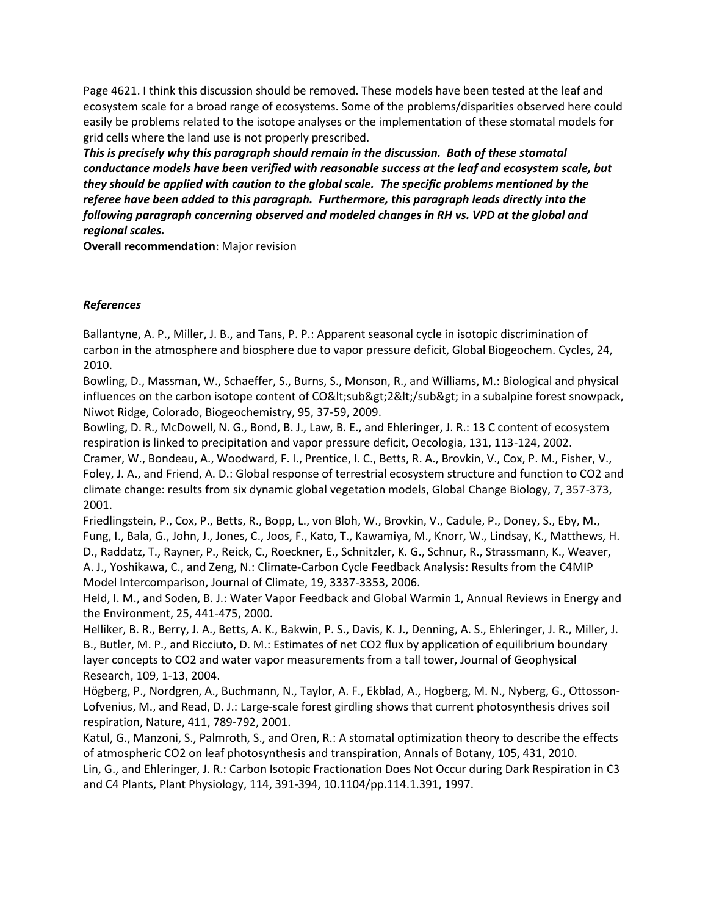Page 4621. I think this discussion should be removed. These models have been tested at the leaf and ecosystem scale for a broad range of ecosystems. Some of the problems/disparities observed here could easily be problems related to the isotope analyses or the implementation of these stomatal models for grid cells where the land use is not properly prescribed.

*This is precisely why this paragraph should remain in the discussion. Both of these stomatal conductance models have been verified with reasonable success at the leaf and ecosystem scale, but they should be applied with caution to the global scale. The specific problems mentioned by the referee have been added to this paragraph. Furthermore, this paragraph leads directly into the following paragraph concerning observed and modeled changes in RH vs. VPD at the global and regional scales.* 

**Overall recommendation**: Major revision

## *References*

Ballantyne, A. P., Miller, J. B., and Tans, P. P.: Apparent seasonal cycle in isotopic discrimination of carbon in the atmosphere and biosphere due to vapor pressure deficit, Global Biogeochem. Cycles, 24, 2010.

Bowling, D., Massman, W., Schaeffer, S., Burns, S., Monson, R., and Williams, M.: Biological and physical influences on the carbon isotope content of CO&It;sub>2&It;/sub> in a subalpine forest snowpack, Niwot Ridge, Colorado, Biogeochemistry, 95, 37-59, 2009.

Bowling, D. R., McDowell, N. G., Bond, B. J., Law, B. E., and Ehleringer, J. R.: 13 C content of ecosystem respiration is linked to precipitation and vapor pressure deficit, Oecologia, 131, 113-124, 2002.

Cramer, W., Bondeau, A., Woodward, F. I., Prentice, I. C., Betts, R. A., Brovkin, V., Cox, P. M., Fisher, V., Foley, J. A., and Friend, A. D.: Global response of terrestrial ecosystem structure and function to CO2 and climate change: results from six dynamic global vegetation models, Global Change Biology, 7, 357-373, 2001.

Friedlingstein, P., Cox, P., Betts, R., Bopp, L., von Bloh, W., Brovkin, V., Cadule, P., Doney, S., Eby, M., Fung, I., Bala, G., John, J., Jones, C., Joos, F., Kato, T., Kawamiya, M., Knorr, W., Lindsay, K., Matthews, H. D., Raddatz, T., Rayner, P., Reick, C., Roeckner, E., Schnitzler, K. G., Schnur, R., Strassmann, K., Weaver, A. J., Yoshikawa, C., and Zeng, N.: Climate-Carbon Cycle Feedback Analysis: Results from the C4MIP Model Intercomparison, Journal of Climate, 19, 3337-3353, 2006.

Held, I. M., and Soden, B. J.: Water Vapor Feedback and Global Warmin 1, Annual Reviews in Energy and the Environment, 25, 441-475, 2000.

Helliker, B. R., Berry, J. A., Betts, A. K., Bakwin, P. S., Davis, K. J., Denning, A. S., Ehleringer, J. R., Miller, J. B., Butler, M. P., and Ricciuto, D. M.: Estimates of net CO2 flux by application of equilibrium boundary layer concepts to CO2 and water vapor measurements from a tall tower, Journal of Geophysical Research, 109, 1-13, 2004.

Högberg, P., Nordgren, A., Buchmann, N., Taylor, A. F., Ekblad, A., Hogberg, M. N., Nyberg, G., Ottosson-Lofvenius, M., and Read, D. J.: Large-scale forest girdling shows that current photosynthesis drives soil respiration, Nature, 411, 789-792, 2001.

Katul, G., Manzoni, S., Palmroth, S., and Oren, R.: A stomatal optimization theory to describe the effects of atmospheric CO2 on leaf photosynthesis and transpiration, Annals of Botany, 105, 431, 2010. Lin, G., and Ehleringer, J. R.: Carbon Isotopic Fractionation Does Not Occur during Dark Respiration in C3 and C4 Plants, Plant Physiology, 114, 391-394, 10.1104/pp.114.1.391, 1997.